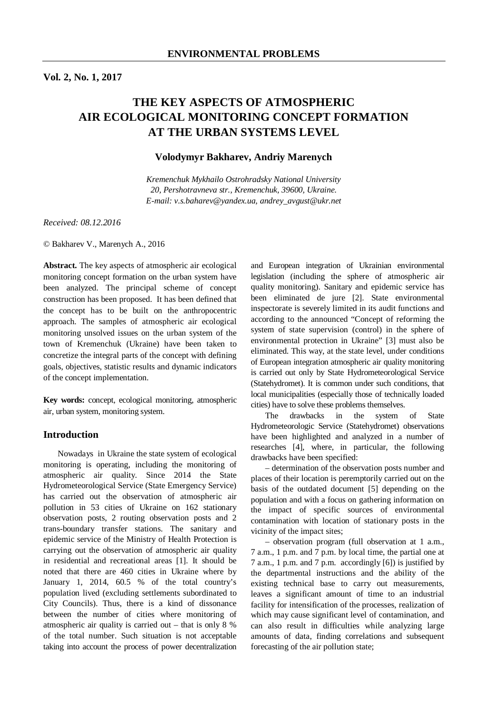# **THE KEY ASPECTS OF ATMOSPHERIC AIR ECOLOGICAL MONITORING CONCEPT FORMATION AT THE URBAN SYSTEMS LEVEL**

# **Volodymyr Bakharev, Andriy Marenych**

*Kremenchuk Mykhailo Ostrohradsky National University 20, Pershotravneva str., Kremenchuk, 39600, Ukraine. E-mail: v.s.baharev@yandex.ua, andrey\_avgust@ukr.net* 

*Received: 08.12.2016* 

© Bakharev V., Marenych A., 2016

**Abstract.** The key aspects of atmospheric air ecological monitoring concept formation on the urban system have been analyzed. The principal scheme of concept construction has been proposed. It has been defined that the concept has to be built on the anthropocentric approach. The samples of atmospheric air ecological monitoring unsolved issues on the urban system of the town of Kremenchuk (Ukraine) have been taken to concretize the integral parts of the concept with defining goals, objectives, statistic results and dynamic indicators of the concept implementation.

**Key words:** concept, ecological monitoring, atmospheric air, urban system, monitoring system.

## **Introduction**

Nowadays in Ukraine the state system of ecological monitoring is operating, including the monitoring of atmospheric air quality. Since 2014 the State Hydrometeorological Service (State Emergency Service) has carried out the observation of atmospheric air pollution in 53 cities of Ukraine on 162 stationary observation posts, 2 routing observation posts and 2 trans-boundary transfer stations. The sanitary and epidemic service of the Ministry of Health Protection is carrying out the observation of atmospheric air quality in residential and recreational areas [1]. It should be noted that there are 460 cities in Ukraine where by January 1, 2014, 60.5 % of the total country's population lived (excluding settlements subordinated to City Councils). Thus, there is a kind of dissonance between the number of cities where monitoring of atmospheric air quality is carried out – that is only 8 % of the total number. Such situation is not acceptable taking into account the process of power decentralization

and European integration of Ukrainian environmental legislation (including the sphere of atmospheric air quality monitoring). Sanitary and epidemic service has been eliminated de jure [2]. State environmental inspectorate is severely limited in its audit functions and according to the announced "Concept of reforming the system of state supervision (control) in the sphere of environmental protection in Ukraine" [3] must also be eliminated. This way, at the state level, under conditions of European integration atmospheric air quality monitoring is carried out only by State Hydrometeorological Service (Statehydromet). It is common under such conditions, that local municipalities (especially those of technically loaded cities) have to solve these problems themselves.

The drawbacks in the system of State Hydrometeorologic Service (Statehydromet) observations have been highlighted and analyzed in a number of researches [4], where, in particular, the following drawbacks have been specified:

– determination of the observation posts number and places of their location is peremptorily carried out on the basis of the outdated document [5] depending on the population and with a focus on gathering information on the impact of specific sources of environmental contamination with location of stationary posts in the vicinity of the impact sites;

– observation program (full observation at 1 a.m., 7 a.m., 1 p.m. and 7 p.m. by local time, the partial one at 7 a.m., 1 p.m. and 7 p.m. accordingly [6]) is justified by the departmental instructions and the ability of the existing technical base to carry out measurements, leaves a significant amount of time to an industrial facility for intensification of the processes, realization of which may cause significant level of contamination, and can also result in difficulties while analyzing large amounts of data, finding correlations and subsequent forecasting of the air pollution state;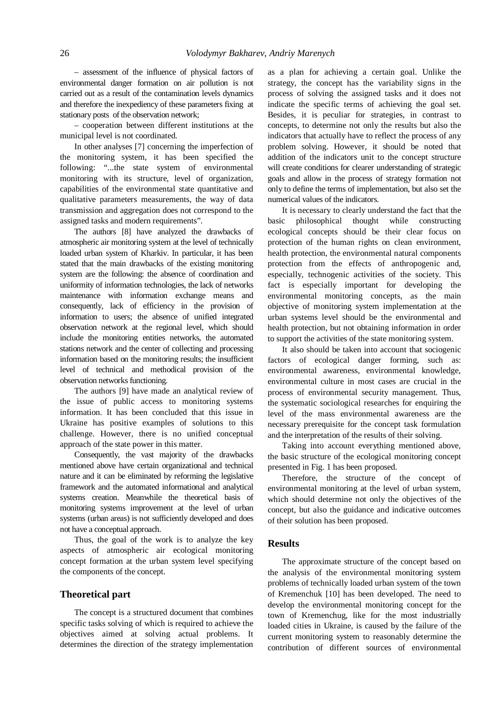– assessment of the influence of physical factors of environmental danger formation on air pollution is not carried out as a result of the contamination levels dynamics and therefore the inexpediency of these parameters fixing at stationary posts of the observation network;

– cooperation between different institutions at the municipal level is not coordinated.

In other analyses [7] concerning the imperfection of the monitoring system, it has been specified the following: "...the state system of environmental monitoring with its structure, level of organization, capabilities of the environmental state quantitative and qualitative parameters measurements, the way of data transmission and aggregation does not correspond to the assigned tasks and modern requirements".

The authors [8] have analyzed the drawbacks of atmospheric air monitoring system at the level of technically loaded urban system of Kharkiv. In particular, it has been stated that the main drawbacks of the existing monitoring system are the following: the absence of coordination and uniformity of information technologies, the lack of networks maintenance with information exchange means and consequently, lack of efficiency in the provision of information to users; the absence of unified integrated observation network at the regional level, which should include the monitoring entities networks, the automated stations network and the center of collecting and processing information based on the monitoring results; the insufficient level of technical and methodical provision of the observation networks functioning.

The authors [9] have made an analytical review of the issue of public access to monitoring systems information. It has been concluded that this issue in Ukraine has positive examples of solutions to this challenge. However, there is no unified conceptual approach of the state power in this matter.

Consequently, the vast majority of the drawbacks mentioned above have certain organizational and technical nature and it can be eliminated by reforming the legislative framework and the automated informational and analytical systems creation. Meanwhile the theoretical basis of monitoring systems improvement at the level of urban systems (urban areas) is not sufficiently developed and does not have a conceptual approach.

Thus, the goal of the work is to analyze the key aspects of atmospheric air ecological monitoring concept formation at the urban system level specifying the components of the concept.

#### **Theoretical part**

The concept is a structured document that combines specific tasks solving of which is required to achieve the objectives aimed at solving actual problems. It determines the direction of the strategy implementation as a plan for achieving a certain goal. Unlike the strategy, the concept has the variability signs in the process of solving the assigned tasks and it does not indicate the specific terms of achieving the goal set. Besides, it is peculiar for strategies, in contrast to concepts, to determine not only the results but also the indicators that actually have to reflect the process of any problem solving. However, it should be noted that addition of the indicators unit to the concept structure will create conditions for clearer understanding of strategic goals and allow in the process of strategy formation not only to define the terms of implementation, but also set the numerical values of the indicators.

It is necessary to clearly understand the fact that the basic philosophical thought while constructing ecological concepts should be their clear focus on protection of the human rights on clean environment, health protection, the environmental natural components protection from the effects of anthropogenic and, especially, technogenic activities of the society. This fact is especially important for developing the environmental monitoring concepts, as the main objective of monitoring system implementation at the urban systems level should be the environmental and health protection, but not obtaining information in order to support the activities of the state monitoring system.

It also should be taken into account that sociogenic factors of ecological danger forming, such as: environmental awareness, environmental knowledge, environmental culture in most cases are crucial in the process of environmental security management. Thus, the systematic sociological researches for enquiring the level of the mass environmental awareness are the necessary prerequisite for the concept task formulation and the interpretation of the results of their solving.

Taking into account everything mentioned above, the basic structure of the ecological monitoring concept presented in Fig. 1 has been proposed.

Therefore, the structure of the concept of environmental monitoring at the level of urban system, which should determine not only the objectives of the concept, but also the guidance and indicative outcomes of their solution has been proposed.

#### **Results**

The approximate structure of the concept based on the analysis of the environmental monitoring system problems of technically loaded urban system of the town of Kremenchuk [10] has been developed. The need to develop the environmental monitoring concept for the town of Kremenchug, like for the most industrially loaded cities in Ukraine, is caused by the failure of the current monitoring system to reasonably determine the contribution of different sources of environmental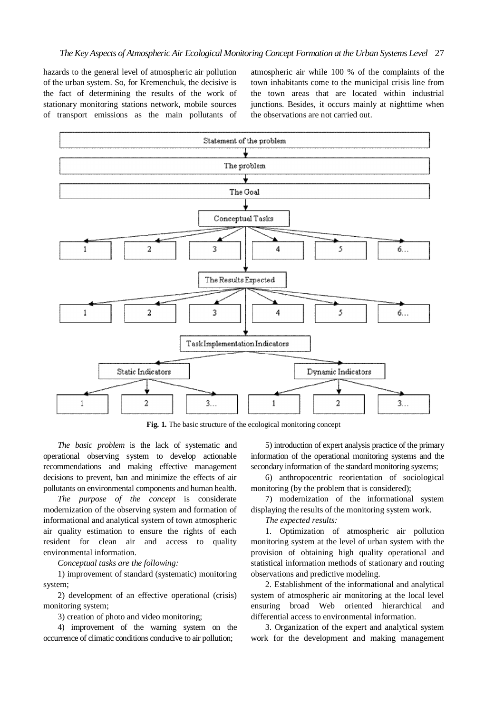hazards to the general level of atmospheric air pollution of the urban system. So, for Kremenchuk, the decisive is the fact of determining the results of the work of stationary monitoring stations network, mobile sources of transport emissions as the main pollutants of atmospheric air while 100 % of the complaints of the town inhabitants come to the municipal crisis line from the town areas that are located within industrial junctions. Besides, it occurs mainly at nighttime when the observations are not carried out.



**Fig. 1.** The basic structure of the ecological monitoring concept

*The basic problem* is the lack of systematic and operational observing system to develop actionable recommendations and making effective management decisions to prevent, ban and minimize the effects of air pollutants on environmental components and human health.

*The purpose of the concept* is considerate modernization of the observing system and formation of informational and analytical system of town atmospheric air quality estimation to ensure the rights of each resident for clean air and access to quality environmental information.

*Conceptual tasks are the following:*

1) improvement of standard (systematic) monitoring system;

2) development of an effective operational (crisis) monitoring system;

3) creation of photo and video monitoring;

4) improvement of the warning system on the occurrence of climatic conditions conducive to air pollution;

5) introduction of expert analysis practice of the primary information of the operational monitoring systems and the secondary information of the standard monitoring systems;

6) anthropocentric reorientation of sociological monitoring (by the problem that is considered);

7) modernization of the informational system displaying the results of the monitoring system work.

*The expected results:* 

1. Optimization of atmospheric air pollution monitoring system at the level of urban system with the provision of obtaining high quality operational and statistical information methods of stationary and routing observations and predictive modeling.

2. Establishment of the informational and analytical system of atmospheric air monitoring at the local level ensuring broad Web oriented hierarchical and differential access to environmental information.

3. Organization of the expert and analytical system work for the development and making management